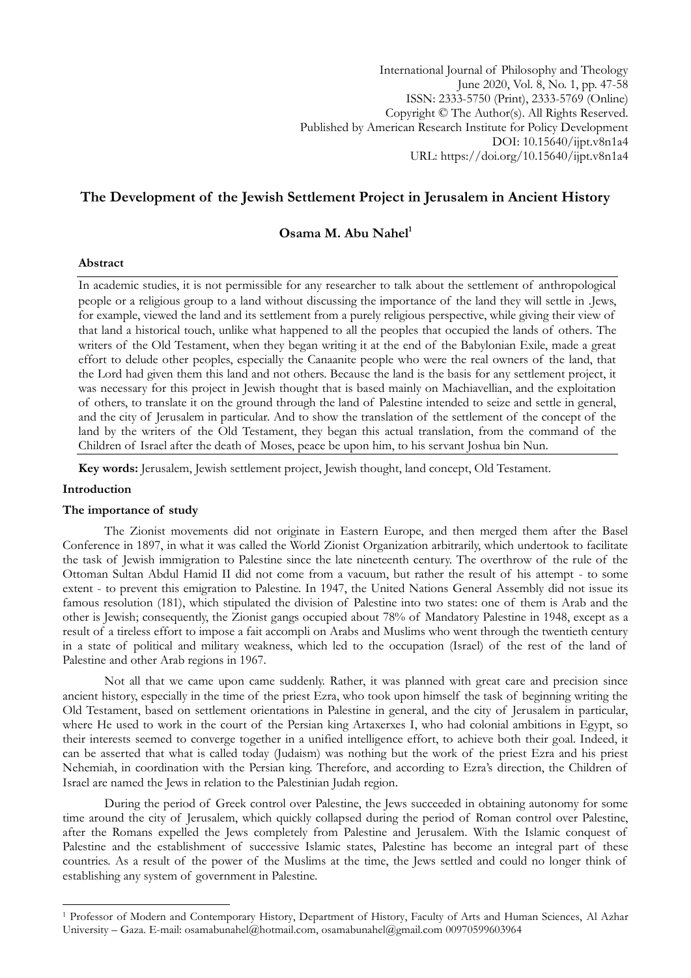International Journal of Philosophy and Theology June 2020, Vol. 8, No. 1, pp. 47-58 ISSN: 2333-5750 (Print), 2333-5769 (Online) Copyright © The Author(s). All Rights Reserved. Published by American Research Institute for Policy Development DOI: 10.15640/ijpt.v8n1a4 URL: https://doi.org/10.15640/ijpt.v8n1a4

# **The Development of the Jewish Settlement Project in Jerusalem in Ancient History**

# **Osama M. Abu Nahel<sup>1</sup>**

#### **Abstract**

In academic studies, it is not permissible for any researcher to talk about the settlement of anthropological people or a religious group to a land without discussing the importance of the land they will settle in .Jews, for example, viewed the land and its settlement from a purely religious perspective, while giving their view of that land a historical touch, unlike what happened to all the peoples that occupied the lands of others. The writers of the Old Testament, when they began writing it at the end of the Babylonian Exile, made a great effort to delude other peoples, especially the Canaanite people who were the real owners of the land, that the Lord had given them this land and not others. Because the land is the basis for any settlement project, it was necessary for this project in Jewish thought that is based mainly on Machiavellian, and the exploitation of others, to translate it on the ground through the land of Palestine intended to seize and settle in general, and the city of Jerusalem in particular. And to show the translation of the settlement of the concept of the land by the writers of the Old Testament, they began this actual translation, from the command of the Children of Israel after the death of Moses, peace be upon him, to his servant Joshua bin Nun.

**Key words:** Jerusalem, Jewish settlement project, Jewish thought, land concept, Old Testament.

# **Introduction**

1

#### **The importance of study**

The Zionist movements did not originate in Eastern Europe, and then merged them after the Basel Conference in 1897, in what it was called the World Zionist Organization arbitrarily, which undertook to facilitate the task of Jewish immigration to Palestine since the late nineteenth century. The overthrow of the rule of the Ottoman Sultan Abdul Hamid II did not come from a vacuum, but rather the result of his attempt - to some extent - to prevent this emigration to Palestine. In 1947, the United Nations General Assembly did not issue its famous resolution (181), which stipulated the division of Palestine into two states: one of them is Arab and the other is Jewish; consequently, the Zionist gangs occupied about 78% of Mandatory Palestine in 1948, except as a result of a tireless effort to impose a fait accompli on Arabs and Muslims who went through the twentieth century in a state of political and military weakness, which led to the occupation (Israel) of the rest of the land of Palestine and other Arab regions in 1967.

Not all that we came upon came suddenly. Rather, it was planned with great care and precision since ancient history, especially in the time of the priest Ezra, who took upon himself the task of beginning writing the Old Testament, based on settlement orientations in Palestine in general, and the city of Jerusalem in particular, where He used to work in the court of the Persian king Artaxerxes I, who had colonial ambitions in Egypt, so their interests seemed to converge together in a unified intelligence effort, to achieve both their goal. Indeed, it can be asserted that what is called today (Judaism) was nothing but the work of the priest Ezra and his priest Nehemiah, in coordination with the Persian king. Therefore, and according to Ezra's direction, the Children of Israel are named the Jews in relation to the Palestinian Judah region.

During the period of Greek control over Palestine, the Jews succeeded in obtaining autonomy for some time around the city of Jerusalem, which quickly collapsed during the period of Roman control over Palestine, after the Romans expelled the Jews completely from Palestine and Jerusalem. With the Islamic conquest of Palestine and the establishment of successive Islamic states, Palestine has become an integral part of these countries. As a result of the power of the Muslims at the time, the Jews settled and could no longer think of establishing any system of government in Palestine.

<sup>1</sup> Professor of Modern and Contemporary History, Department of History, Faculty of Arts and Human Sciences, Al Azhar University – Gaza. E-mail: [osamabunahel@hotmail.com,](mailto:osamabunahel@hotmail.com) [osamabunahel@gmail.com](mailto:osamabunahel@gmail.com) 00970599603964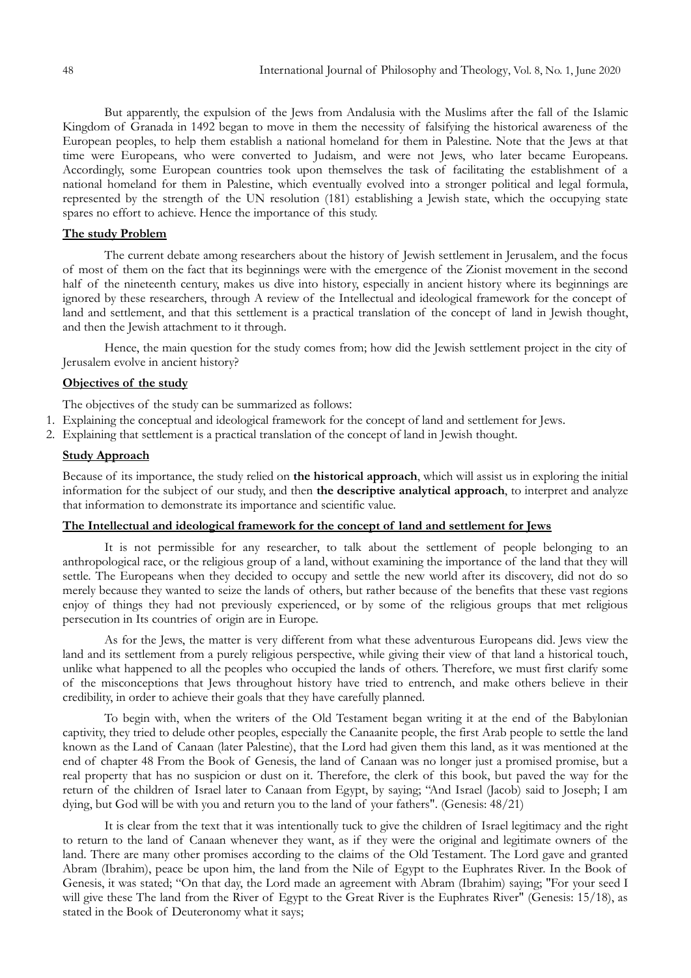But apparently, the expulsion of the Jews from Andalusia with the Muslims after the fall of the Islamic Kingdom of Granada in 1492 began to move in them the necessity of falsifying the historical awareness of the European peoples, to help them establish a national homeland for them in Palestine. Note that the Jews at that time were Europeans, who were converted to Judaism, and were not Jews, who later became Europeans. Accordingly, some European countries took upon themselves the task of facilitating the establishment of a national homeland for them in Palestine, which eventually evolved into a stronger political and legal formula, represented by the strength of the UN resolution (181) establishing a Jewish state, which the occupying state spares no effort to achieve. Hence the importance of this study.

# **The study Problem**

The current debate among researchers about the history of Jewish settlement in Jerusalem, and the focus of most of them on the fact that its beginnings were with the emergence of the Zionist movement in the second half of the nineteenth century, makes us dive into history, especially in ancient history where its beginnings are ignored by these researchers, through A review of the Intellectual and ideological framework for the concept of land and settlement, and that this settlement is a practical translation of the concept of land in Jewish thought, and then the Jewish attachment to it through.

Hence, the main question for the study comes from; how did the Jewish settlement project in the city of Jerusalem evolve in ancient history?

# **Objectives of the study**

The objectives of the study can be summarized as follows:

- 1. Explaining the conceptual and ideological framework for the concept of land and settlement for Jews.
- 2. Explaining that settlement is a practical translation of the concept of land in Jewish thought.

# **Study Approach**

Because of its importance, the study relied on **the historical approach**, which will assist us in exploring the initial information for the subject of our study, and then **the descriptive analytical approach**, to interpret and analyze that information to demonstrate its importance and scientific value.

# **The Intellectual and ideological framework for the concept of land and settlement for Jews**

It is not permissible for any researcher, to talk about the settlement of people belonging to an anthropological race, or the religious group of a land, without examining the importance of the land that they will settle. The Europeans when they decided to occupy and settle the new world after its discovery, did not do so merely because they wanted to seize the lands of others, but rather because of the benefits that these vast regions enjoy of things they had not previously experienced, or by some of the religious groups that met religious persecution in Its countries of origin are in Europe.

As for the Jews, the matter is very different from what these adventurous Europeans did. Jews view the land and its settlement from a purely religious perspective, while giving their view of that land a historical touch, unlike what happened to all the peoples who occupied the lands of others. Therefore, we must first clarify some of the misconceptions that Jews throughout history have tried to entrench, and make others believe in their credibility, in order to achieve their goals that they have carefully planned.

To begin with, when the writers of the Old Testament began writing it at the end of the Babylonian captivity, they tried to delude other peoples, especially the Canaanite people, the first Arab people to settle the land known as the Land of Canaan (later Palestine), that the Lord had given them this land, as it was mentioned at the end of chapter 48 From the Book of Genesis, the land of Canaan was no longer just a promised promise, but a real property that has no suspicion or dust on it. Therefore, the clerk of this book, but paved the way for the return of the children of Israel later to Canaan from Egypt, by saying; "And Israel (Jacob) said to Joseph; I am dying, but God will be with you and return you to the land of your fathers". (Genesis: 48/21)

It is clear from the text that it was intentionally tuck to give the children of Israel legitimacy and the right to return to the land of Canaan whenever they want, as if they were the original and legitimate owners of the land. There are many other promises according to the claims of the Old Testament. The Lord gave and granted Abram (Ibrahim), peace be upon him, the land from the Nile of Egypt to the Euphrates River. In the Book of Genesis, it was stated; "On that day, the Lord made an agreement with Abram (Ibrahim) saying; "For your seed I will give these The land from the River of Egypt to the Great River is the Euphrates River" (Genesis: 15/18), as stated in the Book of Deuteronomy what it says;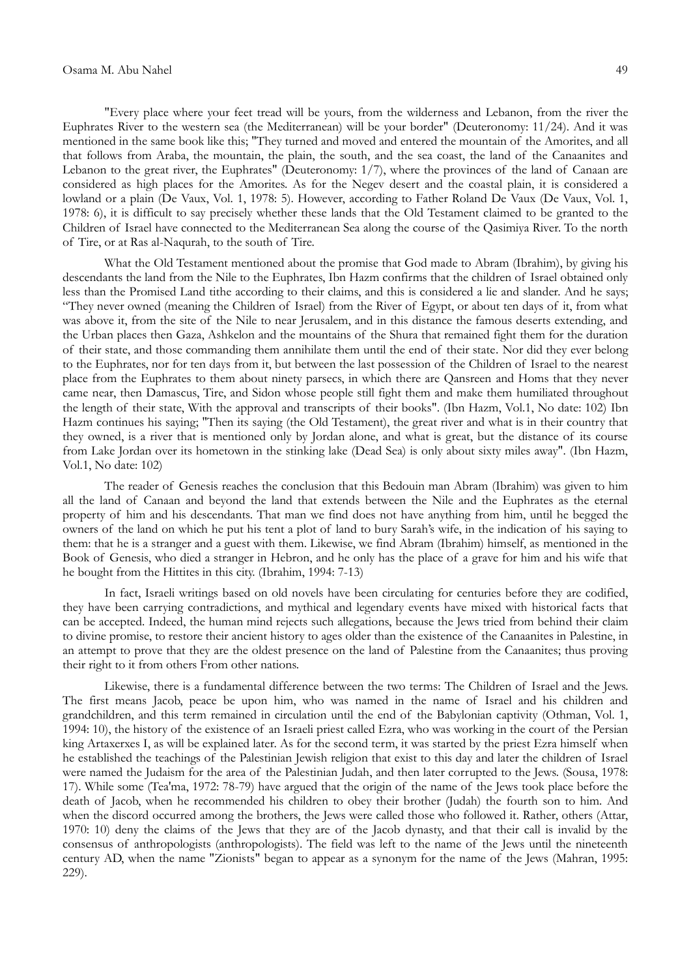"Every place where your feet tread will be yours, from the wilderness and Lebanon, from the river the Euphrates River to the western sea (the Mediterranean) will be your border" (Deuteronomy: 11/24). And it was mentioned in the same book like this; "They turned and moved and entered the mountain of the Amorites, and all that follows from Araba, the mountain, the plain, the south, and the sea coast, the land of the Canaanites and Lebanon to the great river, the Euphrates" (Deuteronomy: 1/7), where the provinces of the land of Canaan are considered as high places for the Amorites. As for the Negev desert and the coastal plain, it is considered a lowland or a plain (De Vaux, Vol. 1, 1978: 5). However, according to Father Roland De Vaux (De Vaux, Vol. 1, 1978: 6), it is difficult to say precisely whether these lands that the Old Testament claimed to be granted to the Children of Israel have connected to the Mediterranean Sea along the course of the Qasimiya River. To the north of Tire, or at Ras al-Naqurah, to the south of Tire.

What the Old Testament mentioned about the promise that God made to Abram (Ibrahim), by giving his descendants the land from the Nile to the Euphrates, Ibn Hazm confirms that the children of Israel obtained only less than the Promised Land tithe according to their claims, and this is considered a lie and slander. And he says; "They never owned (meaning the Children of Israel) from the River of Egypt, or about ten days of it, from what was above it, from the site of the Nile to near Jerusalem, and in this distance the famous deserts extending, and the Urban places then Gaza, Ashkelon and the mountains of the Shura that remained fight them for the duration of their state, and those commanding them annihilate them until the end of their state. Nor did they ever belong to the Euphrates, nor for ten days from it, but between the last possession of the Children of Israel to the nearest place from the Euphrates to them about ninety parsecs, in which there are Qansreen and Homs that they never came near, then Damascus, Tire, and Sidon whose people still fight them and make them humiliated throughout the length of their state, With the approval and transcripts of their books". (Ibn Hazm, Vol.1, No date: 102) Ibn Hazm continues his saying; "Then its saying (the Old Testament), the great river and what is in their country that they owned, is a river that is mentioned only by Jordan alone, and what is great, but the distance of its course from Lake Jordan over its hometown in the stinking lake (Dead Sea) is only about sixty miles away". (Ibn Hazm, Vol.1, No date: 102)

The reader of Genesis reaches the conclusion that this Bedouin man Abram (Ibrahim) was given to him all the land of Canaan and beyond the land that extends between the Nile and the Euphrates as the eternal property of him and his descendants. That man we find does not have anything from him, until he begged the owners of the land on which he put his tent a plot of land to bury Sarah's wife, in the indication of his saying to them: that he is a stranger and a guest with them. Likewise, we find Abram (Ibrahim) himself, as mentioned in the Book of Genesis, who died a stranger in Hebron, and he only has the place of a grave for him and his wife that he bought from the Hittites in this city. (Ibrahim, 1994: 7-13)

In fact, Israeli writings based on old novels have been circulating for centuries before they are codified, they have been carrying contradictions, and mythical and legendary events have mixed with historical facts that can be accepted. Indeed, the human mind rejects such allegations, because the Jews tried from behind their claim to divine promise, to restore their ancient history to ages older than the existence of the Canaanites in Palestine, in an attempt to prove that they are the oldest presence on the land of Palestine from the Canaanites; thus proving their right to it from others From other nations.

Likewise, there is a fundamental difference between the two terms: The Children of Israel and the Jews. The first means Jacob, peace be upon him, who was named in the name of Israel and his children and grandchildren, and this term remained in circulation until the end of the Babylonian captivity (Othman, Vol. 1, 1994: 10), the history of the existence of an Israeli priest called Ezra, who was working in the court of the Persian king Artaxerxes I, as will be explained later. As for the second term, it was started by the priest Ezra himself when he established the teachings of the Palestinian Jewish religion that exist to this day and later the children of Israel were named the Judaism for the area of the Palestinian Judah, and then later corrupted to the Jews. (Sousa, 1978: 17). While some (Tea'ma, 1972: 78-79) have argued that the origin of the name of the Jews took place before the death of Jacob, when he recommended his children to obey their brother (Judah) the fourth son to him. And when the discord occurred among the brothers, the Jews were called those who followed it. Rather, others (Attar, 1970: 10) deny the claims of the Jews that they are of the Jacob dynasty, and that their call is invalid by the consensus of anthropologists (anthropologists). The field was left to the name of the Jews until the nineteenth century AD, when the name "Zionists" began to appear as a synonym for the name of the Jews (Mahran, 1995: 229).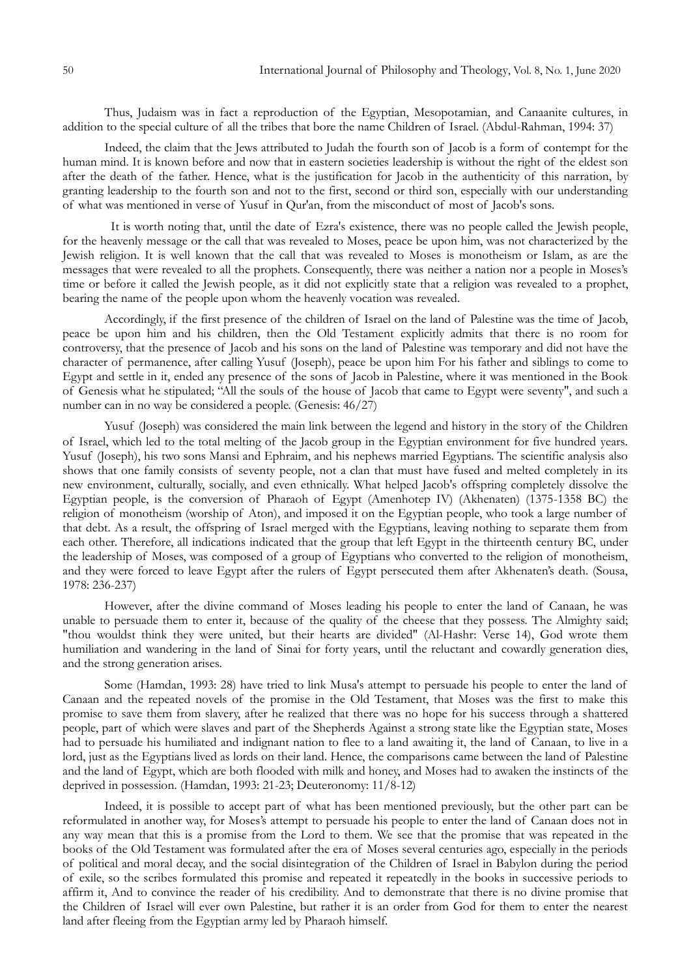Thus, Judaism was in fact a reproduction of the Egyptian, Mesopotamian, and Canaanite cultures, in addition to the special culture of all the tribes that bore the name Children of Israel. (Abdul-Rahman, 1994: 37)

Indeed, the claim that the Jews attributed to Judah the fourth son of Jacob is a form of contempt for the human mind. It is known before and now that in eastern societies leadership is without the right of the eldest son after the death of the father. Hence, what is the justification for Jacob in the authenticity of this narration, by granting leadership to the fourth son and not to the first, second or third son, especially with our understanding of what was mentioned in verse of Yusuf in Qur'an, from the misconduct of most of Jacob's sons.

 It is worth noting that, until the date of Ezra's existence, there was no people called the Jewish people, for the heavenly message or the call that was revealed to Moses, peace be upon him, was not characterized by the Jewish religion. It is well known that the call that was revealed to Moses is monotheism or Islam, as are the messages that were revealed to all the prophets. Consequently, there was neither a nation nor a people in Moses's time or before it called the Jewish people, as it did not explicitly state that a religion was revealed to a prophet, bearing the name of the people upon whom the heavenly vocation was revealed.

Accordingly, if the first presence of the children of Israel on the land of Palestine was the time of Jacob, peace be upon him and his children, then the Old Testament explicitly admits that there is no room for controversy, that the presence of Jacob and his sons on the land of Palestine was temporary and did not have the character of permanence, after calling Yusuf (Joseph), peace be upon him For his father and siblings to come to Egypt and settle in it, ended any presence of the sons of Jacob in Palestine, where it was mentioned in the Book of Genesis what he stipulated; "All the souls of the house of Jacob that came to Egypt were seventy", and such a number can in no way be considered a people. (Genesis: 46/27)

Yusuf (Joseph) was considered the main link between the legend and history in the story of the Children of Israel, which led to the total melting of the Jacob group in the Egyptian environment for five hundred years. Yusuf (Joseph), his two sons Mansi and Ephraim, and his nephews married Egyptians. The scientific analysis also shows that one family consists of seventy people, not a clan that must have fused and melted completely in its new environment, culturally, socially, and even ethnically. What helped Jacob's offspring completely dissolve the Egyptian people, is the conversion of Pharaoh of Egypt (Amenhotep IV) (Akhenaten) (1375-1358 BC) the religion of monotheism (worship of Aton), and imposed it on the Egyptian people, who took a large number of that debt. As a result, the offspring of Israel merged with the Egyptians, leaving nothing to separate them from each other. Therefore, all indications indicated that the group that left Egypt in the thirteenth century BC, under the leadership of Moses, was composed of a group of Egyptians who converted to the religion of monotheism, and they were forced to leave Egypt after the rulers of Egypt persecuted them after Akhenaten's death. (Sousa, 1978: 236-237)

However, after the divine command of Moses leading his people to enter the land of Canaan, he was unable to persuade them to enter it, because of the quality of the cheese that they possess. The Almighty said; "thou wouldst think they were united, but their hearts are divided" (Al-Hashr: Verse 14), God wrote them humiliation and wandering in the land of Sinai for forty years, until the reluctant and cowardly generation dies, and the strong generation arises.

Some (Hamdan, 1993: 28) have tried to link Musa's attempt to persuade his people to enter the land of Canaan and the repeated novels of the promise in the Old Testament, that Moses was the first to make this promise to save them from slavery, after he realized that there was no hope for his success through a shattered people, part of which were slaves and part of the Shepherds Against a strong state like the Egyptian state, Moses had to persuade his humiliated and indignant nation to flee to a land awaiting it, the land of Canaan, to live in a lord, just as the Egyptians lived as lords on their land. Hence, the comparisons came between the land of Palestine and the land of Egypt, which are both flooded with milk and honey, and Moses had to awaken the instincts of the deprived in possession. (Hamdan, 1993: 21-23; Deuteronomy: 11/8-12)

Indeed, it is possible to accept part of what has been mentioned previously, but the other part can be reformulated in another way, for Moses's attempt to persuade his people to enter the land of Canaan does not in any way mean that this is a promise from the Lord to them. We see that the promise that was repeated in the books of the Old Testament was formulated after the era of Moses several centuries ago, especially in the periods of political and moral decay, and the social disintegration of the Children of Israel in Babylon during the period of exile, so the scribes formulated this promise and repeated it repeatedly in the books in successive periods to affirm it, And to convince the reader of his credibility. And to demonstrate that there is no divine promise that the Children of Israel will ever own Palestine, but rather it is an order from God for them to enter the nearest land after fleeing from the Egyptian army led by Pharaoh himself.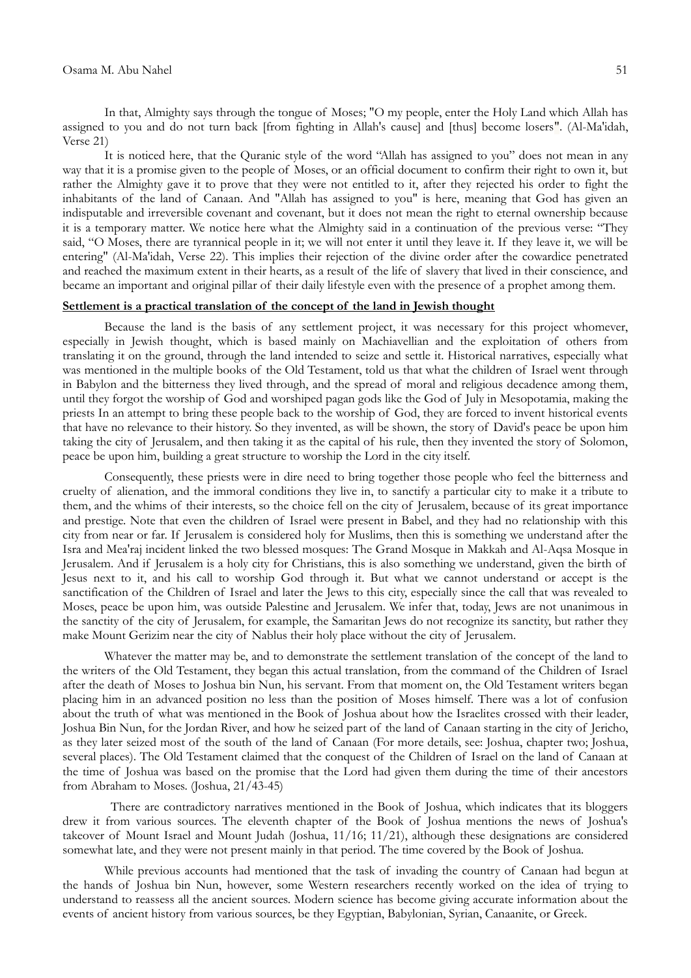In that, Almighty says through the tongue of Moses; "O my people, enter the Holy Land which Allah has assigned to you and do not turn back [from fighting in Allah's cause] and [thus] become losers". (Al-Ma'idah, Verse 21)

It is noticed here, that the Quranic style of the word "Allah has assigned to you" does not mean in any way that it is a promise given to the people of Moses, or an official document to confirm their right to own it, but rather the Almighty gave it to prove that they were not entitled to it, after they rejected his order to fight the inhabitants of the land of Canaan. And "Allah has assigned to you" is here, meaning that God has given an indisputable and irreversible covenant and covenant, but it does not mean the right to eternal ownership because it is a temporary matter. We notice here what the Almighty said in a continuation of the previous verse: "They said, "O Moses, there are tyrannical people in it; we will not enter it until they leave it. If they leave it, we will be entering" (Al-Ma'idah, Verse 22). This implies their rejection of the divine order after the cowardice penetrated and reached the maximum extent in their hearts, as a result of the life of slavery that lived in their conscience, and became an important and original pillar of their daily lifestyle even with the presence of a prophet among them.

# **Settlement is a practical translation of the concept of the land in Jewish thought**

Because the land is the basis of any settlement project, it was necessary for this project whomever, especially in Jewish thought, which is based mainly on Machiavellian and the exploitation of others from translating it on the ground, through the land intended to seize and settle it. Historical narratives, especially what was mentioned in the multiple books of the Old Testament, told us that what the children of Israel went through in Babylon and the bitterness they lived through, and the spread of moral and religious decadence among them, until they forgot the worship of God and worshiped pagan gods like the God of July in Mesopotamia, making the priests In an attempt to bring these people back to the worship of God, they are forced to invent historical events that have no relevance to their history. So they invented, as will be shown, the story of David's peace be upon him taking the city of Jerusalem, and then taking it as the capital of his rule, then they invented the story of Solomon, peace be upon him, building a great structure to worship the Lord in the city itself.

Consequently, these priests were in dire need to bring together those people who feel the bitterness and cruelty of alienation, and the immoral conditions they live in, to sanctify a particular city to make it a tribute to them, and the whims of their interests, so the choice fell on the city of Jerusalem, because of its great importance and prestige. Note that even the children of Israel were present in Babel, and they had no relationship with this city from near or far. If Jerusalem is considered holy for Muslims, then this is something we understand after the Isra and Mea'raj incident linked the two blessed mosques: The Grand Mosque in Makkah and Al-Aqsa Mosque in Jerusalem. And if Jerusalem is a holy city for Christians, this is also something we understand, given the birth of Jesus next to it, and his call to worship God through it. But what we cannot understand or accept is the sanctification of the Children of Israel and later the Jews to this city, especially since the call that was revealed to Moses, peace be upon him, was outside Palestine and Jerusalem. We infer that, today, Jews are not unanimous in the sanctity of the city of Jerusalem, for example, the Samaritan Jews do not recognize its sanctity, but rather they make Mount Gerizim near the city of Nablus their holy place without the city of Jerusalem.

Whatever the matter may be, and to demonstrate the settlement translation of the concept of the land to the writers of the Old Testament, they began this actual translation, from the command of the Children of Israel after the death of Moses to Joshua bin Nun, his servant. From that moment on, the Old Testament writers began placing him in an advanced position no less than the position of Moses himself. There was a lot of confusion about the truth of what was mentioned in the Book of Joshua about how the Israelites crossed with their leader, Joshua Bin Nun, for the Jordan River, and how he seized part of the land of Canaan starting in the city of Jericho, as they later seized most of the south of the land of Canaan (For more details, see: Joshua, chapter two; Joshua, several places). The Old Testament claimed that the conquest of the Children of Israel on the land of Canaan at the time of Joshua was based on the promise that the Lord had given them during the time of their ancestors from Abraham to Moses. (Joshua, 21/43-45)

 There are contradictory narratives mentioned in the Book of Joshua, which indicates that its bloggers drew it from various sources. The eleventh chapter of the Book of Joshua mentions the news of Joshua's takeover of Mount Israel and Mount Judah (Joshua, 11/16; 11/21), although these designations are considered somewhat late, and they were not present mainly in that period. The time covered by the Book of Joshua.

While previous accounts had mentioned that the task of invading the country of Canaan had begun at the hands of Joshua bin Nun, however, some Western researchers recently worked on the idea of trying to understand to reassess all the ancient sources. Modern science has become giving accurate information about the events of ancient history from various sources, be they Egyptian, Babylonian, Syrian, Canaanite, or Greek.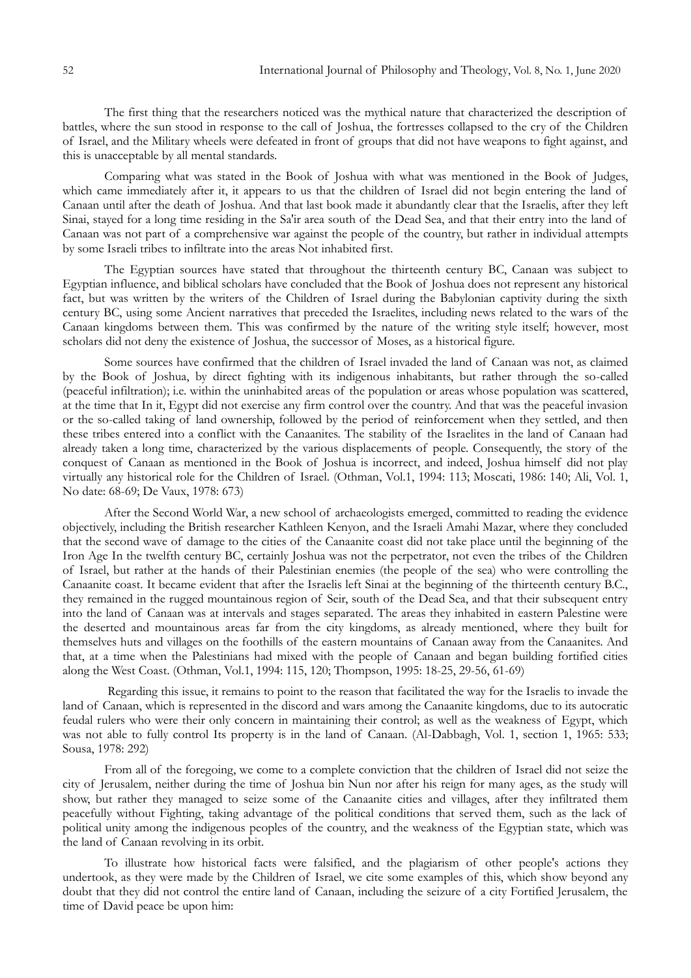The first thing that the researchers noticed was the mythical nature that characterized the description of battles, where the sun stood in response to the call of Joshua, the fortresses collapsed to the cry of the Children of Israel, and the Military wheels were defeated in front of groups that did not have weapons to fight against, and this is unacceptable by all mental standards.

Comparing what was stated in the Book of Joshua with what was mentioned in the Book of Judges, which came immediately after it, it appears to us that the children of Israel did not begin entering the land of Canaan until after the death of Joshua. And that last book made it abundantly clear that the Israelis, after they left Sinai, stayed for a long time residing in the Sa'ir area south of the Dead Sea, and that their entry into the land of Canaan was not part of a comprehensive war against the people of the country, but rather in individual attempts by some Israeli tribes to infiltrate into the areas Not inhabited first.

The Egyptian sources have stated that throughout the thirteenth century BC, Canaan was subject to Egyptian influence, and biblical scholars have concluded that the Book of Joshua does not represent any historical fact, but was written by the writers of the Children of Israel during the Babylonian captivity during the sixth century BC, using some Ancient narratives that preceded the Israelites, including news related to the wars of the Canaan kingdoms between them. This was confirmed by the nature of the writing style itself; however, most scholars did not deny the existence of Joshua, the successor of Moses, as a historical figure.

Some sources have confirmed that the children of Israel invaded the land of Canaan was not, as claimed by the Book of Joshua, by direct fighting with its indigenous inhabitants, but rather through the so-called (peaceful infiltration); i.e. within the uninhabited areas of the population or areas whose population was scattered, at the time that In it, Egypt did not exercise any firm control over the country. And that was the peaceful invasion or the so-called taking of land ownership, followed by the period of reinforcement when they settled, and then these tribes entered into a conflict with the Canaanites. The stability of the Israelites in the land of Canaan had already taken a long time, characterized by the various displacements of people. Consequently, the story of the conquest of Canaan as mentioned in the Book of Joshua is incorrect, and indeed, Joshua himself did not play virtually any historical role for the Children of Israel. (Othman, Vol.1, 1994: 113; Moscati, 1986: 140; Ali, Vol. 1, No date: 68-69; De Vaux, 1978: 673)

After the Second World War, a new school of archaeologists emerged, committed to reading the evidence objectively, including the British researcher Kathleen Kenyon, and the Israeli Amahi Mazar, where they concluded that the second wave of damage to the cities of the Canaanite coast did not take place until the beginning of the Iron Age In the twelfth century BC, certainly Joshua was not the perpetrator, not even the tribes of the Children of Israel, but rather at the hands of their Palestinian enemies (the people of the sea) who were controlling the Canaanite coast. It became evident that after the Israelis left Sinai at the beginning of the thirteenth century B.C., they remained in the rugged mountainous region of Seir, south of the Dead Sea, and that their subsequent entry into the land of Canaan was at intervals and stages separated. The areas they inhabited in eastern Palestine were the deserted and mountainous areas far from the city kingdoms, as already mentioned, where they built for themselves huts and villages on the foothills of the eastern mountains of Canaan away from the Canaanites. And that, at a time when the Palestinians had mixed with the people of Canaan and began building fortified cities along the West Coast. (Othman, Vol.1, 1994: 115, 120; Thompson, 1995: 18-25, 29-56, 61-69)

Regarding this issue, it remains to point to the reason that facilitated the way for the Israelis to invade the land of Canaan, which is represented in the discord and wars among the Canaanite kingdoms, due to its autocratic feudal rulers who were their only concern in maintaining their control; as well as the weakness of Egypt, which was not able to fully control Its property is in the land of Canaan. (Al-Dabbagh, Vol. 1, section 1, 1965: 533; Sousa, 1978: 292)

From all of the foregoing, we come to a complete conviction that the children of Israel did not seize the city of Jerusalem, neither during the time of Joshua bin Nun nor after his reign for many ages, as the study will show, but rather they managed to seize some of the Canaanite cities and villages, after they infiltrated them peacefully without Fighting, taking advantage of the political conditions that served them, such as the lack of political unity among the indigenous peoples of the country, and the weakness of the Egyptian state, which was the land of Canaan revolving in its orbit.

To illustrate how historical facts were falsified, and the plagiarism of other people's actions they undertook, as they were made by the Children of Israel, we cite some examples of this, which show beyond any doubt that they did not control the entire land of Canaan, including the seizure of a city Fortified Jerusalem, the time of David peace be upon him: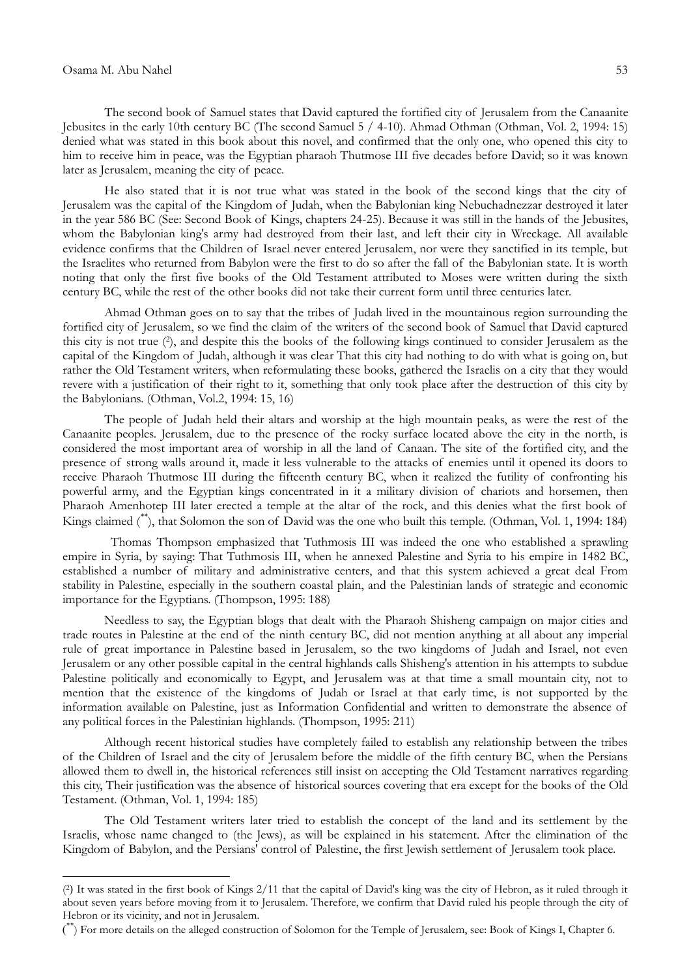**-**

The second book of Samuel states that David captured the fortified city of Jerusalem from the Canaanite Jebusites in the early 10th century BC (The second Samuel 5 / 4-10). Ahmad Othman (Othman, Vol. 2, 1994: 15) denied what was stated in this book about this novel, and confirmed that the only one, who opened this city to him to receive him in peace, was the Egyptian pharaoh Thutmose III five decades before David; so it was known later as Jerusalem, meaning the city of peace.

He also stated that it is not true what was stated in the book of the second kings that the city of Jerusalem was the capital of the Kingdom of Judah, when the Babylonian king Nebuchadnezzar destroyed it later in the year 586 BC (See: Second Book of Kings, chapters 24-25). Because it was still in the hands of the Jebusites, whom the Babylonian king's army had destroyed from their last, and left their city in Wreckage. All available evidence confirms that the Children of Israel never entered Jerusalem, nor were they sanctified in its temple, but the Israelites who returned from Babylon were the first to do so after the fall of the Babylonian state. It is worth noting that only the first five books of the Old Testament attributed to Moses were written during the sixth century BC, while the rest of the other books did not take their current form until three centuries later.

Ahmad Othman goes on to say that the tribes of Judah lived in the mountainous region surrounding the fortified city of Jerusalem, so we find the claim of the writers of the second book of Samuel that David captured this city is not true (<sup>2</sup> ), and despite this the books of the following kings continued to consider Jerusalem as the capital of the Kingdom of Judah, although it was clear That this city had nothing to do with what is going on, but rather the Old Testament writers, when reformulating these books, gathered the Israelis on a city that they would revere with a justification of their right to it, something that only took place after the destruction of this city by the Babylonians. (Othman, Vol.2, 1994: 15, 16)

The people of Judah held their altars and worship at the high mountain peaks, as were the rest of the Canaanite peoples. Jerusalem, due to the presence of the rocky surface located above the city in the north, is considered the most important area of worship in all the land of Canaan. The site of the fortified city, and the presence of strong walls around it, made it less vulnerable to the attacks of enemies until it opened its doors to receive Pharaoh Thutmose III during the fifteenth century BC, when it realized the futility of confronting his powerful army, and the Egyptian kings concentrated in it a military division of chariots and horsemen, then Pharaoh Amenhotep III later erected a temple at the altar of the rock, and this denies what the first book of Kings claimed (\*\* ), that Solomon the son of David was the one who built this temple. (Othman, Vol. 1, 1994: 184)

 Thomas Thompson emphasized that Tuthmosis III was indeed the one who established a sprawling empire in Syria, by saying: That Tuthmosis III, when he annexed Palestine and Syria to his empire in 1482 BC, established a number of military and administrative centers, and that this system achieved a great deal From stability in Palestine, especially in the southern coastal plain, and the Palestinian lands of strategic and economic importance for the Egyptians. (Thompson, 1995: 188)

Needless to say, the Egyptian blogs that dealt with the Pharaoh Shisheng campaign on major cities and trade routes in Palestine at the end of the ninth century BC, did not mention anything at all about any imperial rule of great importance in Palestine based in Jerusalem, so the two kingdoms of Judah and Israel, not even Jerusalem or any other possible capital in the central highlands calls Shisheng's attention in his attempts to subdue Palestine politically and economically to Egypt, and Jerusalem was at that time a small mountain city, not to mention that the existence of the kingdoms of Judah or Israel at that early time, is not supported by the information available on Palestine, just as Information Confidential and written to demonstrate the absence of any political forces in the Palestinian highlands. (Thompson, 1995: 211)

Although recent historical studies have completely failed to establish any relationship between the tribes of the Children of Israel and the city of Jerusalem before the middle of the fifth century BC, when the Persians allowed them to dwell in, the historical references still insist on accepting the Old Testament narratives regarding this city, Their justification was the absence of historical sources covering that era except for the books of the Old Testament. (Othman, Vol. 1, 1994: 185)

The Old Testament writers later tried to establish the concept of the land and its settlement by the Israelis, whose name changed to (the Jews), as will be explained in his statement. After the elimination of the Kingdom of Babylon, and the Persians' control of Palestine, the first Jewish settlement of Jerusalem took place.

<sup>(2)</sup> It was stated in the first book of Kings 2/11 that the capital of David's king was the city of Hebron, as it ruled through it about seven years before moving from it to Jerusalem. Therefore, we confirm that David ruled his people through the city of Hebron or its vicinity, and not in Jerusalem.

<sup>&</sup>lt;sup>\*\*</sup>) For more details on the alleged construction of Solomon for the Temple of Jerusalem, see: Book of Kings I, Chapter 6.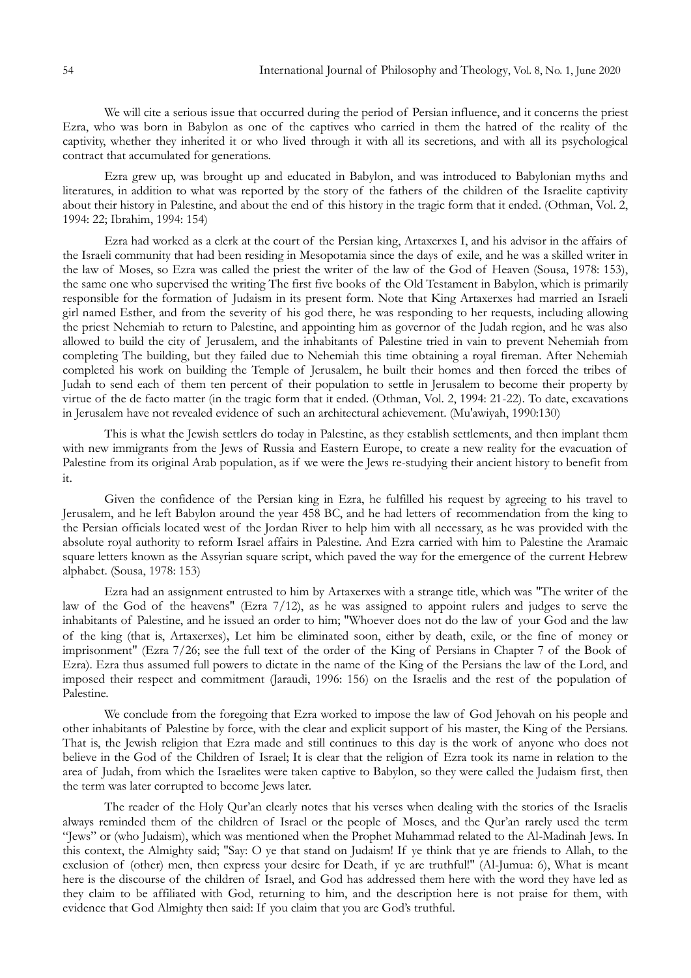We will cite a serious issue that occurred during the period of Persian influence, and it concerns the priest Ezra, who was born in Babylon as one of the captives who carried in them the hatred of the reality of the captivity, whether they inherited it or who lived through it with all its secretions, and with all its psychological contract that accumulated for generations.

Ezra grew up, was brought up and educated in Babylon, and was introduced to Babylonian myths and literatures, in addition to what was reported by the story of the fathers of the children of the Israelite captivity about their history in Palestine, and about the end of this history in the tragic form that it ended. (Othman, Vol. 2, 1994: 22; Ibrahim, 1994: 154)

Ezra had worked as a clerk at the court of the Persian king, Artaxerxes I, and his advisor in the affairs of the Israeli community that had been residing in Mesopotamia since the days of exile, and he was a skilled writer in the law of Moses, so Ezra was called the priest the writer of the law of the God of Heaven (Sousa, 1978: 153), the same one who supervised the writing The first five books of the Old Testament in Babylon, which is primarily responsible for the formation of Judaism in its present form. Note that King Artaxerxes had married an Israeli girl named Esther, and from the severity of his god there, he was responding to her requests, including allowing the priest Nehemiah to return to Palestine, and appointing him as governor of the Judah region, and he was also allowed to build the city of Jerusalem, and the inhabitants of Palestine tried in vain to prevent Nehemiah from completing The building, but they failed due to Nehemiah this time obtaining a royal fireman. After Nehemiah completed his work on building the Temple of Jerusalem, he built their homes and then forced the tribes of Judah to send each of them ten percent of their population to settle in Jerusalem to become their property by virtue of the de facto matter (in the tragic form that it ended. (Othman, Vol. 2, 1994: 21-22). To date, excavations in Jerusalem have not revealed evidence of such an architectural achievement. (Mu'awiyah, 1990:130)

This is what the Jewish settlers do today in Palestine, as they establish settlements, and then implant them with new immigrants from the Jews of Russia and Eastern Europe, to create a new reality for the evacuation of Palestine from its original Arab population, as if we were the Jews re-studying their ancient history to benefit from it.

Given the confidence of the Persian king in Ezra, he fulfilled his request by agreeing to his travel to Jerusalem, and he left Babylon around the year 458 BC, and he had letters of recommendation from the king to the Persian officials located west of the Jordan River to help him with all necessary, as he was provided with the absolute royal authority to reform Israel affairs in Palestine. And Ezra carried with him to Palestine the Aramaic square letters known as the Assyrian square script, which paved the way for the emergence of the current Hebrew alphabet. (Sousa, 1978: 153)

Ezra had an assignment entrusted to him by Artaxerxes with a strange title, which was "The writer of the law of the God of the heavens" (Ezra 7/12), as he was assigned to appoint rulers and judges to serve the inhabitants of Palestine, and he issued an order to him; "Whoever does not do the law of your God and the law of the king (that is, Artaxerxes), Let him be eliminated soon, either by death, exile, or the fine of money or imprisonment" (Ezra 7/26; see the full text of the order of the King of Persians in Chapter 7 of the Book of Ezra). Ezra thus assumed full powers to dictate in the name of the King of the Persians the law of the Lord, and imposed their respect and commitment (Jaraudi, 1996: 156) on the Israelis and the rest of the population of Palestine.

We conclude from the foregoing that Ezra worked to impose the law of God Jehovah on his people and other inhabitants of Palestine by force, with the clear and explicit support of his master, the King of the Persians. That is, the Jewish religion that Ezra made and still continues to this day is the work of anyone who does not believe in the God of the Children of Israel; It is clear that the religion of Ezra took its name in relation to the area of Judah, from which the Israelites were taken captive to Babylon, so they were called the Judaism first, then the term was later corrupted to become Jews later.

The reader of the Holy Qur'an clearly notes that his verses when dealing with the stories of the Israelis always reminded them of the children of Israel or the people of Moses, and the Qur'an rarely used the term "Jews" or (who Judaism), which was mentioned when the Prophet Muhammad related to the Al-Madinah Jews. In this context, the Almighty said; "Say: O ye that stand on Judaism! If ye think that ye are friends to Allah, to the exclusion of (other) men, then express your desire for Death, if ye are truthful!" (Al-Jumua: 6), What is meant here is the discourse of the children of Israel, and God has addressed them here with the word they have led as they claim to be affiliated with God, returning to him, and the description here is not praise for them, with evidence that God Almighty then said: If you claim that you are God's truthful.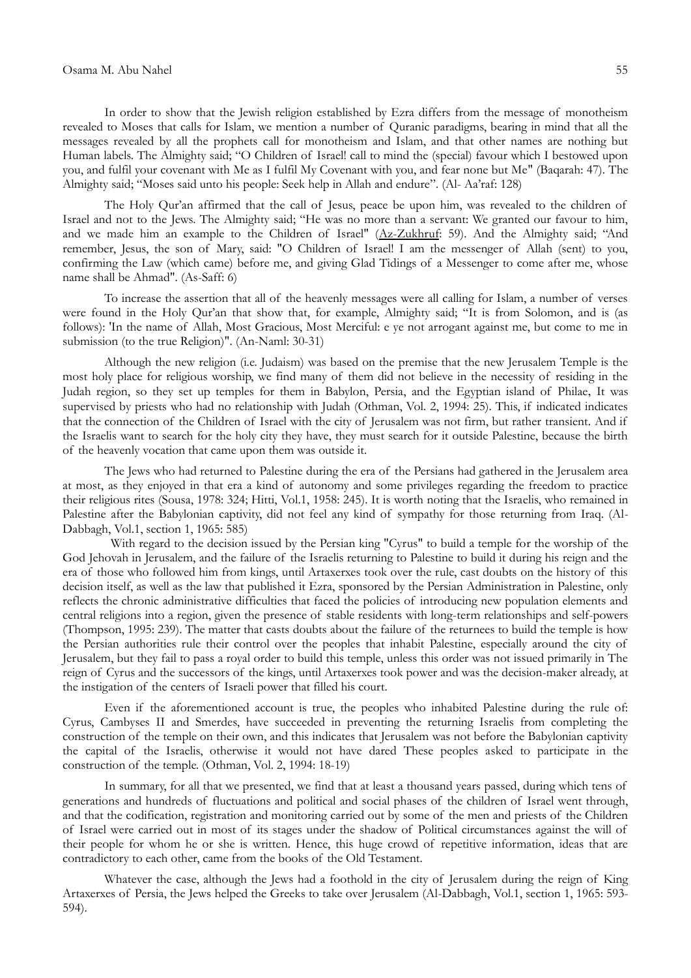# Osama M. Abu Nahel 55

In order to show that the Jewish religion established by Ezra differs from the message of monotheism revealed to Moses that calls for Islam, we mention a number of Quranic paradigms, bearing in mind that all the messages revealed by all the prophets call for monotheism and Islam, and that other names are nothing but Human labels. The Almighty said; "O Children of Israel! call to mind the (special) favour which I bestowed upon you, and fulfil your covenant with Me as I fulfil My Covenant with you, and fear none but Me" (Baqarah: 47). The Almighty said; "Moses said unto his people: Seek help in Allah and endure". (Al- Aa'raf: 128)

The Holy Qur'an affirmed that the call of Jesus, peace be upon him, was revealed to the children of Israel and not to the Jews. The Almighty said; "He was no more than a servant: We granted our favour to him, and we made him an example to the Children of Israel" [\(Az-Zukhruf](javascript:showMore(43,1,%20this)): 59). And the Almighty said; "And remember, Jesus, the son of Mary, said: "O Children of Israel! I am the messenger of Allah (sent) to you, confirming the Law (which came) before me, and giving Glad Tidings of a Messenger to come after me, whose name shall be Ahmad". (As-Saff: 6)

To increase the assertion that all of the heavenly messages were all calling for Islam, a number of verses were found in the Holy Qur'an that show that, for example, Almighty said; "It is from Solomon, and is (as follows): 'In the name of Allah, Most Gracious, Most Merciful: e ye not arrogant against me, but come to me in submission (to the true Religion)". (An-Naml: 30-31)

Although the new religion (i.e. Judaism) was based on the premise that the new Jerusalem Temple is the most holy place for religious worship, we find many of them did not believe in the necessity of residing in the Judah region, so they set up temples for them in Babylon, Persia, and the Egyptian island of Philae, It was supervised by priests who had no relationship with Judah (Othman, Vol. 2, 1994: 25). This, if indicated indicates that the connection of the Children of Israel with the city of Jerusalem was not firm, but rather transient. And if the Israelis want to search for the holy city they have, they must search for it outside Palestine, because the birth of the heavenly vocation that came upon them was outside it.

The Jews who had returned to Palestine during the era of the Persians had gathered in the Jerusalem area at most, as they enjoyed in that era a kind of autonomy and some privileges regarding the freedom to practice their religious rites (Sousa, 1978: 324; Hitti, Vol.1, 1958: 245). It is worth noting that the Israelis, who remained in Palestine after the Babylonian captivity, did not feel any kind of sympathy for those returning from Iraq. (Al-Dabbagh, Vol.1, section 1, 1965: 585)

 With regard to the decision issued by the Persian king "Cyrus" to build a temple for the worship of the God Jehovah in Jerusalem, and the failure of the Israelis returning to Palestine to build it during his reign and the era of those who followed him from kings, until Artaxerxes took over the rule, cast doubts on the history of this decision itself, as well as the law that published it Ezra, sponsored by the Persian Administration in Palestine, only reflects the chronic administrative difficulties that faced the policies of introducing new population elements and central religions into a region, given the presence of stable residents with long-term relationships and self-powers (Thompson, 1995: 239). The matter that casts doubts about the failure of the returnees to build the temple is how the Persian authorities rule their control over the peoples that inhabit Palestine, especially around the city of Jerusalem, but they fail to pass a royal order to build this temple, unless this order was not issued primarily in The reign of Cyrus and the successors of the kings, until Artaxerxes took power and was the decision-maker already, at the instigation of the centers of Israeli power that filled his court.

Even if the aforementioned account is true, the peoples who inhabited Palestine during the rule of: Cyrus, Cambyses II and Smerdes, have succeeded in preventing the returning Israelis from completing the construction of the temple on their own, and this indicates that Jerusalem was not before the Babylonian captivity the capital of the Israelis, otherwise it would not have dared These peoples asked to participate in the construction of the temple. (Othman, Vol. 2, 1994: 18-19)

In summary, for all that we presented, we find that at least a thousand years passed, during which tens of generations and hundreds of fluctuations and political and social phases of the children of Israel went through, and that the codification, registration and monitoring carried out by some of the men and priests of the Children of Israel were carried out in most of its stages under the shadow of Political circumstances against the will of their people for whom he or she is written. Hence, this huge crowd of repetitive information, ideas that are contradictory to each other, came from the books of the Old Testament.

Whatever the case, although the Jews had a foothold in the city of Jerusalem during the reign of King Artaxerxes of Persia, the Jews helped the Greeks to take over Jerusalem (Al-Dabbagh, Vol.1, section 1, 1965: 593- 594).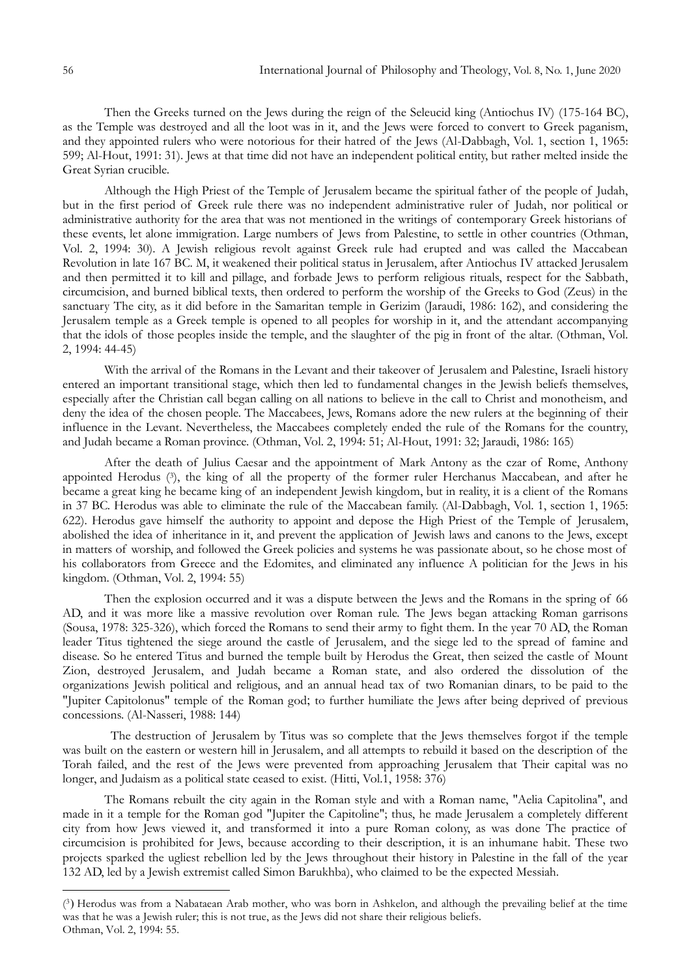Then the Greeks turned on the Jews during the reign of the Seleucid king (Antiochus IV) (175-164 BC), as the Temple was destroyed and all the loot was in it, and the Jews were forced to convert to Greek paganism, and they appointed rulers who were notorious for their hatred of the Jews (Al-Dabbagh, Vol. 1, section 1, 1965: 599; Al-Hout, 1991: 31). Jews at that time did not have an independent political entity, but rather melted inside the Great Syrian crucible.

Although the High Priest of the Temple of Jerusalem became the spiritual father of the people of Judah, but in the first period of Greek rule there was no independent administrative ruler of Judah, nor political or administrative authority for the area that was not mentioned in the writings of contemporary Greek historians of these events, let alone immigration. Large numbers of Jews from Palestine, to settle in other countries (Othman, Vol. 2, 1994: 30). A Jewish religious revolt against Greek rule had erupted and was called the Maccabean Revolution in late 167 BC. M, it weakened their political status in Jerusalem, after Antiochus IV attacked Jerusalem and then permitted it to kill and pillage, and forbade Jews to perform religious rituals, respect for the Sabbath, circumcision, and burned biblical texts, then ordered to perform the worship of the Greeks to God (Zeus) in the sanctuary The city, as it did before in the Samaritan temple in Gerizim (Jaraudi, 1986: 162), and considering the Jerusalem temple as a Greek temple is opened to all peoples for worship in it, and the attendant accompanying that the idols of those peoples inside the temple, and the slaughter of the pig in front of the altar. (Othman, Vol. 2, 1994: 44-45)

With the arrival of the Romans in the Levant and their takeover of Jerusalem and Palestine, Israeli history entered an important transitional stage, which then led to fundamental changes in the Jewish beliefs themselves, especially after the Christian call began calling on all nations to believe in the call to Christ and monotheism, and deny the idea of the chosen people. The Maccabees, Jews, Romans adore the new rulers at the beginning of their influence in the Levant. Nevertheless, the Maccabees completely ended the rule of the Romans for the country, and Judah became a Roman province. (Othman, Vol. 2, 1994: 51; Al-Hout, 1991: 32; Jaraudi, 1986: 165)

After the death of Julius Caesar and the appointment of Mark Antony as the czar of Rome, Anthony appointed Herodus (<sup>3</sup> ), the king of all the property of the former ruler Herchanus Maccabean, and after he became a great king he became king of an independent Jewish kingdom, but in reality, it is a client of the Romans in 37 BC. Herodus was able to eliminate the rule of the Maccabean family. (Al-Dabbagh, Vol. 1, section 1, 1965: 622). Herodus gave himself the authority to appoint and depose the High Priest of the Temple of Jerusalem, abolished the idea of inheritance in it, and prevent the application of Jewish laws and canons to the Jews, except in matters of worship, and followed the Greek policies and systems he was passionate about, so he chose most of his collaborators from Greece and the Edomites, and eliminated any influence A politician for the Jews in his kingdom. (Othman, Vol. 2, 1994: 55)

Then the explosion occurred and it was a dispute between the Jews and the Romans in the spring of 66 AD, and it was more like a massive revolution over Roman rule. The Jews began attacking Roman garrisons (Sousa, 1978: 325-326), which forced the Romans to send their army to fight them. In the year 70 AD, the Roman leader Titus tightened the siege around the castle of Jerusalem, and the siege led to the spread of famine and disease. So he entered Titus and burned the temple built by Herodus the Great, then seized the castle of Mount Zion, destroyed Jerusalem, and Judah became a Roman state, and also ordered the dissolution of the organizations Jewish political and religious, and an annual head tax of two Romanian dinars, to be paid to the "Jupiter Capitolonus" temple of the Roman god; to further humiliate the Jews after being deprived of previous concessions. (Al-Nasseri, 1988: 144)

 The destruction of Jerusalem by Titus was so complete that the Jews themselves forgot if the temple was built on the eastern or western hill in Jerusalem, and all attempts to rebuild it based on the description of the Torah failed, and the rest of the Jews were prevented from approaching Jerusalem that Their capital was no longer, and Judaism as a political state ceased to exist. (Hitti, Vol.1, 1958: 376)

The Romans rebuilt the city again in the Roman style and with a Roman name, "Aelia Capitolina", and made in it a temple for the Roman god "Jupiter the Capitoline"; thus, he made Jerusalem a completely different city from how Jews viewed it, and transformed it into a pure Roman colony, as was done The practice of circumcision is prohibited for Jews, because according to their description, it is an inhumane habit. These two projects sparked the ugliest rebellion led by the Jews throughout their history in Palestine in the fall of the year 132 AD, led by a Jewish extremist called Simon Barukhba), who claimed to be the expected Messiah.

1

<sup>(3)</sup> Herodus was from a Nabataean Arab mother, who was born in Ashkelon, and although the prevailing belief at the time was that he was a Jewish ruler; this is not true, as the Jews did not share their religious beliefs. Othman, Vol. 2, 1994: 55.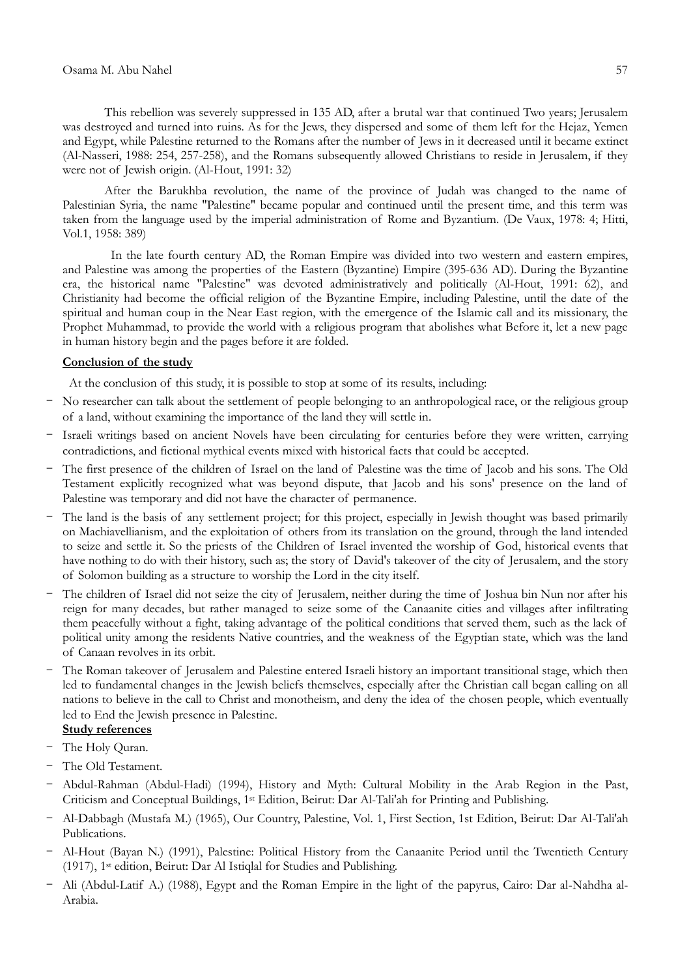This rebellion was severely suppressed in 135 AD, after a brutal war that continued Two years; Jerusalem was destroyed and turned into ruins. As for the Jews, they dispersed and some of them left for the Hejaz, Yemen and Egypt, while Palestine returned to the Romans after the number of Jews in it decreased until it became extinct (Al-Nasseri, 1988: 254, 257-258), and the Romans subsequently allowed Christians to reside in Jerusalem, if they were not of Jewish origin. (Al-Hout, 1991: 32)

After the Barukhba revolution, the name of the province of Judah was changed to the name of Palestinian Syria, the name "Palestine" became popular and continued until the present time, and this term was taken from the language used by the imperial administration of Rome and Byzantium. (De Vaux, 1978: 4; Hitti, Vol.1, 1958: 389)

 In the late fourth century AD, the Roman Empire was divided into two western and eastern empires, and Palestine was among the properties of the Eastern (Byzantine) Empire (395-636 AD). During the Byzantine era, the historical name "Palestine" was devoted administratively and politically (Al-Hout, 1991: 62), and Christianity had become the official religion of the Byzantine Empire, including Palestine, until the date of the spiritual and human coup in the Near East region, with the emergence of the Islamic call and its missionary, the Prophet Muhammad, to provide the world with a religious program that abolishes what Before it, let a new page in human history begin and the pages before it are folded.

# **Conclusion of the study**

At the conclusion of this study, it is possible to stop at some of its results, including:

- No researcher can talk about the settlement of people belonging to an anthropological race, or the religious group of a land, without examining the importance of the land they will settle in.
- Israeli writings based on ancient Novels have been circulating for centuries before they were written, carrying contradictions, and fictional mythical events mixed with historical facts that could be accepted.
- The first presence of the children of Israel on the land of Palestine was the time of Jacob and his sons. The Old Testament explicitly recognized what was beyond dispute, that Jacob and his sons' presence on the land of Palestine was temporary and did not have the character of permanence.
- The land is the basis of any settlement project; for this project, especially in Jewish thought was based primarily on Machiavellianism, and the exploitation of others from its translation on the ground, through the land intended to seize and settle it. So the priests of the Children of Israel invented the worship of God, historical events that have nothing to do with their history, such as; the story of David's takeover of the city of Jerusalem, and the story of Solomon building as a structure to worship the Lord in the city itself.
- The children of Israel did not seize the city of Jerusalem, neither during the time of Joshua bin Nun nor after his reign for many decades, but rather managed to seize some of the Canaanite cities and villages after infiltrating them peacefully without a fight, taking advantage of the political conditions that served them, such as the lack of political unity among the residents Native countries, and the weakness of the Egyptian state, which was the land of Canaan revolves in its orbit.
- The Roman takeover of Jerusalem and Palestine entered Israeli history an important transitional stage, which then led to fundamental changes in the Jewish beliefs themselves, especially after the Christian call began calling on all nations to believe in the call to Christ and monotheism, and deny the idea of the chosen people, which eventually led to End the Jewish presence in Palestine.

# **Study references**

- The Holy Quran.
- The Old Testament.
- Abdul-Rahman (Abdul-Hadi) (1994), History and Myth: Cultural Mobility in the Arab Region in the Past, Criticism and Conceptual Buildings, 1st Edition, Beirut: Dar Al-Tali'ah for Printing and Publishing.
- Al-Dabbagh (Mustafa M.) (1965), Our Country, Palestine, Vol. 1, First Section, 1st Edition, Beirut: Dar Al-Tali'ah Publications.
- Al-Hout (Bayan N.) (1991), Palestine: Political History from the Canaanite Period until the Twentieth Century (1917), 1st edition, Beirut: Dar Al Istiqlal for Studies and Publishing.
- Ali (Abdul-Latif A.) (1988), Egypt and the Roman Empire in the light of the papyrus, Cairo: Dar al-Nahdha al-Arabia.